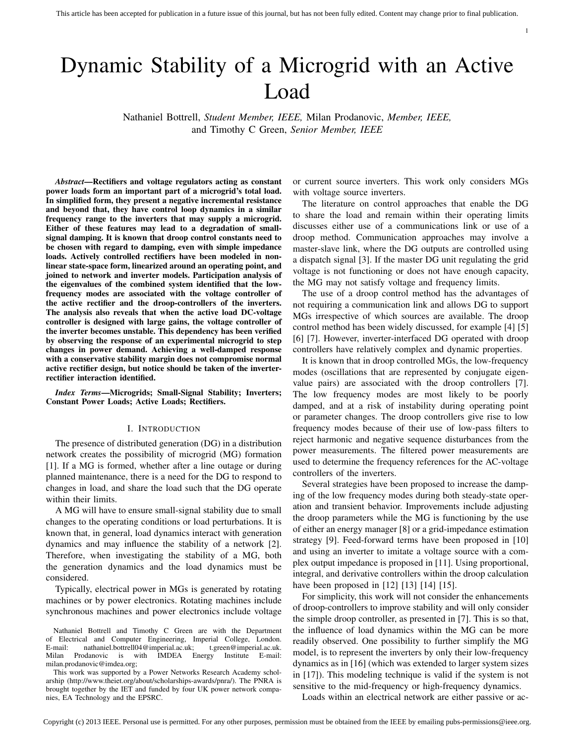## Dynamic Stability of a Microgrid with an Active Load

Nathaniel Bottrell, *Student Member, IEEE,* Milan Prodanovic, *Member, IEEE,* and Timothy C Green, *Senior Member, IEEE*

*Abstract*—Rectifiers and voltage regulators acting as constant power loads form an important part of a microgrid's total load. In simplified form, they present a negative incremental resistance and beyond that, they have control loop dynamics in a similar frequency range to the inverters that may supply a microgrid. Either of these features may lead to a degradation of smallsignal damping. It is known that droop control constants need to be chosen with regard to damping, even with simple impedance loads. Actively controlled rectifiers have been modeled in nonlinear state-space form, linearized around an operating point, and joined to network and inverter models. Participation analysis of the eigenvalues of the combined system identified that the lowfrequency modes are associated with the voltage controller of the active rectifier and the droop-controllers of the inverters. The analysis also reveals that when the active load DC-voltage controller is designed with large gains, the voltage controller of the inverter becomes unstable. This dependency has been verified by observing the response of an experimental microgrid to step changes in power demand. Achieving a well-damped response with a conservative stability margin does not compromise normal active rectifier design, but notice should be taken of the inverterrectifier interaction identified.

*Index Terms*—Microgrids; Small-Signal Stability; Inverters; Constant Power Loads; Active Loads; Rectifiers.

## I. INTRODUCTION

The presence of distributed generation (DG) in a distribution network creates the possibility of microgrid (MG) formation [1]. If a MG is formed, whether after a line outage or during planned maintenance, there is a need for the DG to respond to changes in load, and share the load such that the DG operate within their limits.

A MG will have to ensure small-signal stability due to small changes to the operating conditions or load perturbations. It is known that, in general, load dynamics interact with generation dynamics and may influence the stability of a network [2]. Therefore, when investigating the stability of a MG, both the generation dynamics and the load dynamics must be considered.

Typically, electrical power in MGs is generated by rotating machines or by power electronics. Rotating machines include synchronous machines and power electronics include voltage

This work was supported by a Power Networks Research Academy scholarship (http://www.theiet.org/about/scholarships-awards/pnra/). The PNRA is brought together by the IET and funded by four UK power network companies, EA Technology and the EPSRC.

or current source inverters. This work only considers MGs with voltage source inverters.

1

The literature on control approaches that enable the DG to share the load and remain within their operating limits discusses either use of a communications link or use of a droop method. Communication approaches may involve a master-slave link, where the DG outputs are controlled using a dispatch signal [3]. If the master DG unit regulating the grid voltage is not functioning or does not have enough capacity, the MG may not satisfy voltage and frequency limits.

The use of a droop control method has the advantages of not requiring a communication link and allows DG to support MGs irrespective of which sources are available. The droop control method has been widely discussed, for example [4] [5] [6] [7]. However, inverter-interfaced DG operated with droop controllers have relatively complex and dynamic properties.

It is known that in droop controlled MGs, the low-frequency modes (oscillations that are represented by conjugate eigenvalue pairs) are associated with the droop controllers [7]. The low frequency modes are most likely to be poorly damped, and at a risk of instability during operating point or parameter changes. The droop controllers give rise to low frequency modes because of their use of low-pass filters to reject harmonic and negative sequence disturbances from the power measurements. The filtered power measurements are used to determine the frequency references for the AC-voltage controllers of the inverters.

Several strategies have been proposed to increase the damping of the low frequency modes during both steady-state operation and transient behavior. Improvements include adjusting the droop parameters while the MG is functioning by the use of either an energy manager [8] or a grid-impedance estimation strategy [9]. Feed-forward terms have been proposed in [10] and using an inverter to imitate a voltage source with a complex output impedance is proposed in [11]. Using proportional, integral, and derivative controllers within the droop calculation have been proposed in [12] [13] [14] [15].

For simplicity, this work will not consider the enhancements of droop-controllers to improve stability and will only consider the simple droop controller, as presented in [7]. This is so that, the influence of load dynamics within the MG can be more readily observed. One possibility to further simplify the MG model, is to represent the inverters by only their low-frequency dynamics as in [16] (which was extended to larger system sizes in [17]). This modeling technique is valid if the system is not sensitive to the mid-frequency or high-frequency dynamics.

Loads within an electrical network are either passive or ac-

Nathaniel Bottrell and Timothy C Green are with the Department of Electrical and Computer Engineering, Imperial College, London. E-mail: nathaniel.bottrell04@imperial.ac.uk; t.green@imperial.ac.uk. Milan Prodanovic is with IMDEA Energy Institute E-mail: milan.prodanovic@imdea.org;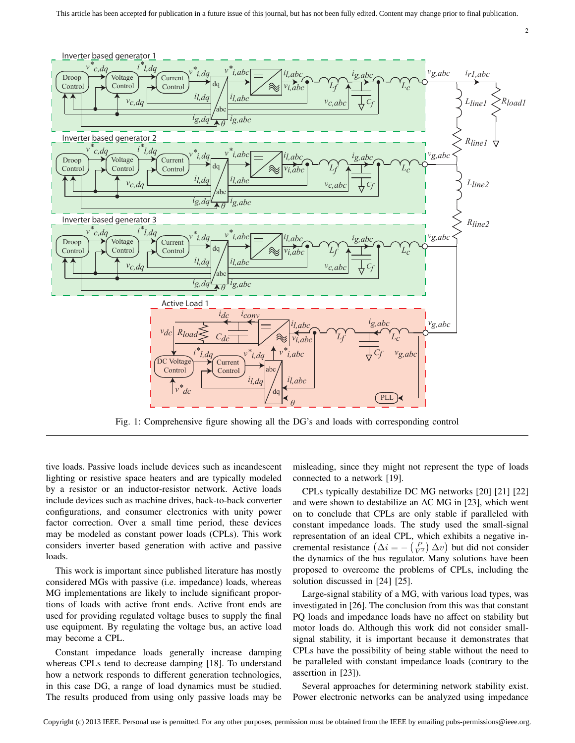

Fig. 1: Comprehensive figure showing all the DG's and loads with corresponding control

tive loads. Passive loads include devices such as incandescent lighting or resistive space heaters and are typically modeled by a resistor or an inductor-resistor network. Active loads include devices such as machine drives, back-to-back converter configurations, and consumer electronics with unity power factor correction. Over a small time period, these devices may be modeled as constant power loads (CPLs). This work considers inverter based generation with active and passive loads.

This work is important since published literature has mostly considered MGs with passive (i.e. impedance) loads, whereas MG implementations are likely to include significant proportions of loads with active front ends. Active front ends are used for providing regulated voltage buses to supply the final use equipment. By regulating the voltage bus, an active load may become a CPL.

Constant impedance loads generally increase damping whereas CPLs tend to decrease damping [18]. To understand how a network responds to different generation technologies, in this case DG, a range of load dynamics must be studied. The results produced from using only passive loads may be misleading, since they might not represent the type of loads connected to a network [19].

2

CPLs typically destabilize DC MG networks [20] [21] [22] and were shown to destabilize an AC MG in [23], which went on to conclude that CPLs are only stable if paralleled with constant impedance loads. The study used the small-signal representation of an ideal CPL, which exhibits a negative incremental resistance  $(\Delta i = -\left(\frac{P}{V^2}\right) \Delta v)$  but did not consider the dynamics of the bus regulator. Many solutions have been proposed to overcome the problems of CPLs, including the solution discussed in [24] [25].

Large-signal stability of a MG, with various load types, was investigated in [26]. The conclusion from this was that constant PQ loads and impedance loads have no affect on stability but motor loads do. Although this work did not consider smallsignal stability, it is important because it demonstrates that CPLs have the possibility of being stable without the need to be paralleled with constant impedance loads (contrary to the assertion in [23]).

Several approaches for determining network stability exist. Power electronic networks can be analyzed using impedance